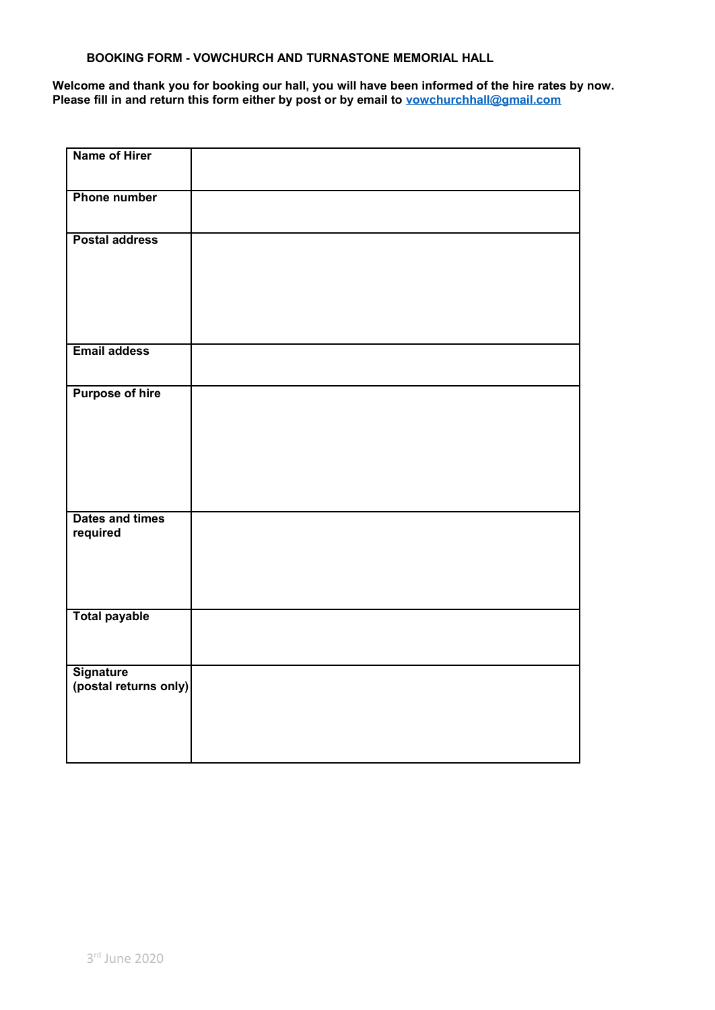# **BOOKING FORM - VOWCHURCH AND TURNASTONE MEMORIAL HALL**

**Welcome and thank you for booking our hall, you will have been informed of the hire rates by now. Please fill in and return this form either by post or by email to [vowchurchhall@gmail.com](mailto:vowchurchhall@gmail.com?subject=Booking%20-%20Vowchurch%20and%20Turnastone%20Memorial%20Hall)**

| Name of Hirer                      |  |
|------------------------------------|--|
| <b>Phone number</b>                |  |
| <b>Postal address</b>              |  |
| <b>Email addess</b>                |  |
| <b>Purpose of hire</b>             |  |
| Dates and times<br>required        |  |
| <b>Total payable</b>               |  |
| Signature<br>(postal returns only) |  |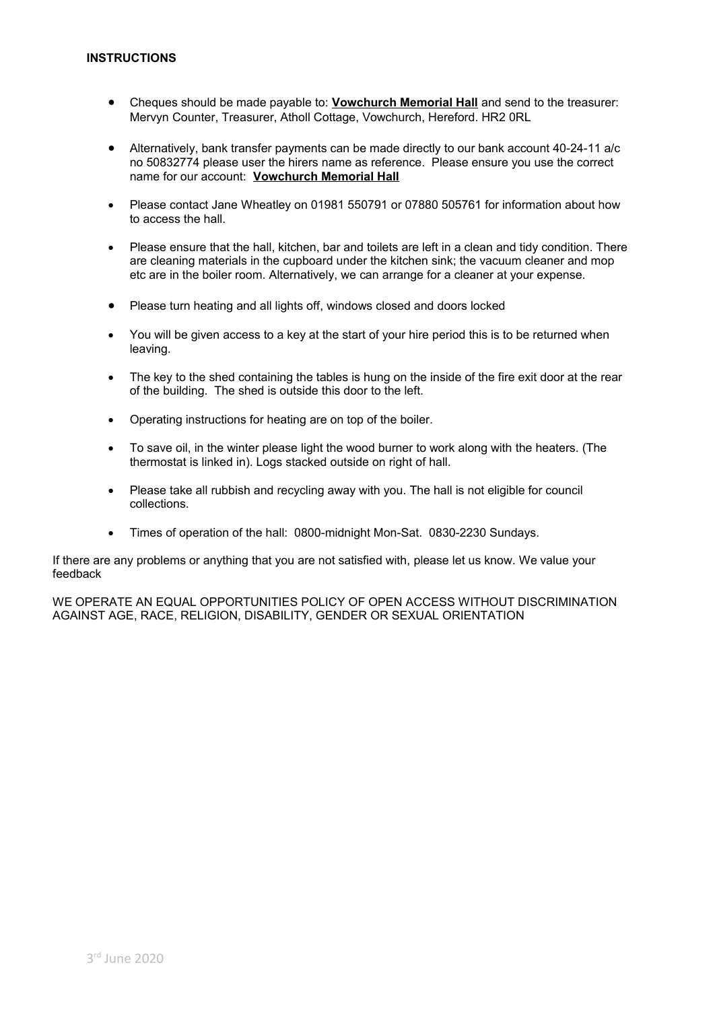- Cheques should be made payable to: **Vowchurch Memorial Hall** and send to the treasurer: Mervyn Counter, Treasurer, Atholl Cottage, Vowchurch, Hereford. HR2 0RL
- Alternatively, bank transfer payments can be made directly to our bank account 40-24-11 a/c no 50832774 please user the hirers name as reference. Please ensure you use the correct name for our account: **Vowchurch Memorial Hall**
- Please contact Jane Wheatley on 01981 550791 or 07880 505761 for information about how to access the hall.
- Please ensure that the hall, kitchen, bar and toilets are left in a clean and tidy condition. There are cleaning materials in the cupboard under the kitchen sink; the vacuum cleaner and mop etc are in the boiler room. Alternatively, we can arrange for a cleaner at your expense.
- Please turn heating and all lights off, windows closed and doors locked
- You will be given access to a key at the start of your hire period this is to be returned when leaving.
- The key to the shed containing the tables is hung on the inside of the fire exit door at the rear of the building. The shed is outside this door to the left.
- Operating instructions for heating are on top of the boiler.
- To save oil, in the winter please light the wood burner to work along with the heaters. (The thermostat is linked in). Logs stacked outside on right of hall.
- Please take all rubbish and recycling away with you. The hall is not eligible for council collections.
- Times of operation of the hall: 0800-midnight Mon-Sat. 0830-2230 Sundays.

If there are any problems or anything that you are not satisfied with, please let us know. We value your feedback

WE OPERATE AN EQUAL OPPORTUNITIES POLICY OF OPEN ACCESS WITHOUT DISCRIMINATION AGAINST AGE, RACE, RELIGION, DISABILITY, GENDER OR SEXUAL ORIENTATION